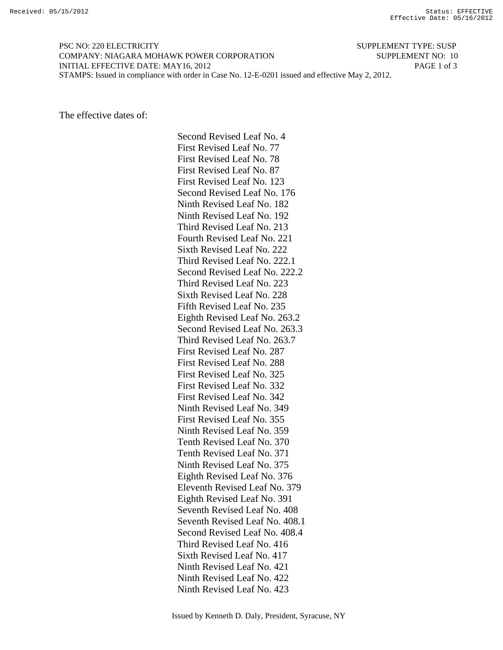PSC NO: 220 ELECTRICITY SUPPLEMENT TYPE: SUSP COMPANY: NIAGARA MOHAWK POWER CORPORATION SUPPLEMENT NO: 10 INITIAL EFFECTIVE DATE: MAY16, 2012 PAGE 1 of 3 STAMPS: Issued in compliance with order in Case No. 12-E-0201 issued and effective May 2, 2012.

The effective dates of:

 Second Revised Leaf No. 4 First Revised Leaf No. 77 First Revised Leaf No. 78 First Revised Leaf No. 87 First Revised Leaf No. 123 Second Revised Leaf No. 176 Ninth Revised Leaf No. 182 Ninth Revised Leaf No. 192 Third Revised Leaf No. 213 Fourth Revised Leaf No. 221 Sixth Revised Leaf No. 222 Third Revised Leaf No. 222.1 Second Revised Leaf No. 222.2 Third Revised Leaf No. 223 Sixth Revised Leaf No. 228 Fifth Revised Leaf No. 235 Eighth Revised Leaf No. 263.2 Second Revised Leaf No. 263.3 Third Revised Leaf No. 263.7 First Revised Leaf No. 287 First Revised Leaf No. 288 First Revised Leaf No. 325 First Revised Leaf No. 332 First Revised Leaf No. 342 Ninth Revised Leaf No. 349 First Revised Leaf No. 355 Ninth Revised Leaf No. 359 Tenth Revised Leaf No. 370 Tenth Revised Leaf No. 371 Ninth Revised Leaf No. 375 Eighth Revised Leaf No. 376 Eleventh Revised Leaf No. 379 Eighth Revised Leaf No. 391 Seventh Revised Leaf No. 408 Seventh Revised Leaf No. 408.1 Second Revised Leaf No. 408.4 Third Revised Leaf No. 416 Sixth Revised Leaf No. 417 Ninth Revised Leaf No. 421 Ninth Revised Leaf No. 422 Ninth Revised Leaf No. 423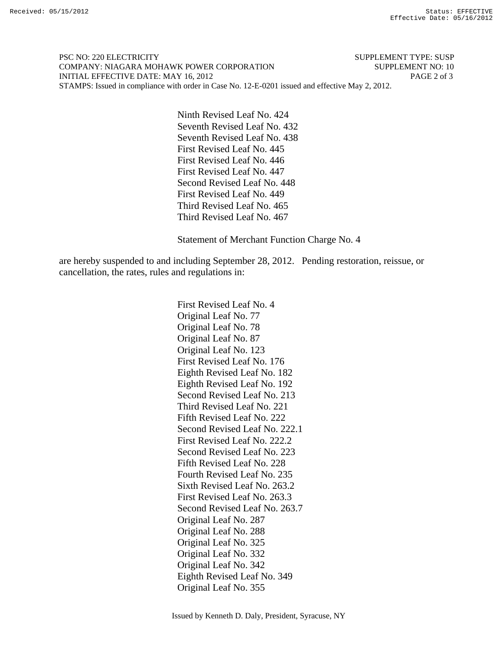PSC NO: 220 ELECTRICITY SUPPLEMENT TYPE: SUSP COMPANY: NIAGARA MOHAWK POWER CORPORATION SUPPLEMENT NO: 10 INITIAL EFFECTIVE DATE: MAY 16, 2012 PAGE 2 of 3 STAMPS: Issued in compliance with order in Case No. 12-E-0201 issued and effective May 2, 2012.

> Ninth Revised Leaf No. 424 Seventh Revised Leaf No. 432 Seventh Revised Leaf No. 438 First Revised Leaf No. 445 First Revised Leaf No. 446 First Revised Leaf No. 447 Second Revised Leaf No. 448 First Revised Leaf No. 449 Third Revised Leaf No. 465 Third Revised Leaf No. 467

Statement of Merchant Function Charge No. 4

are hereby suspended to and including September 28, 2012. Pending restoration, reissue, or cancellation, the rates, rules and regulations in:

> First Revised Leaf No. 4 Original Leaf No. 77 Original Leaf No. 78 Original Leaf No. 87 Original Leaf No. 123 First Revised Leaf No. 176 Eighth Revised Leaf No. 182 Eighth Revised Leaf No. 192 Second Revised Leaf No. 213 Third Revised Leaf No. 221 Fifth Revised Leaf No. 222 Second Revised Leaf No. 222.1 First Revised Leaf No. 222.2 Second Revised Leaf No. 223 Fifth Revised Leaf No. 228 Fourth Revised Leaf No. 235 Sixth Revised Leaf No. 263.2 First Revised Leaf No. 263.3 Second Revised Leaf No. 263.7 Original Leaf No. 287 Original Leaf No. 288 Original Leaf No. 325 Original Leaf No. 332 Original Leaf No. 342 Eighth Revised Leaf No. 349 Original Leaf No. 355